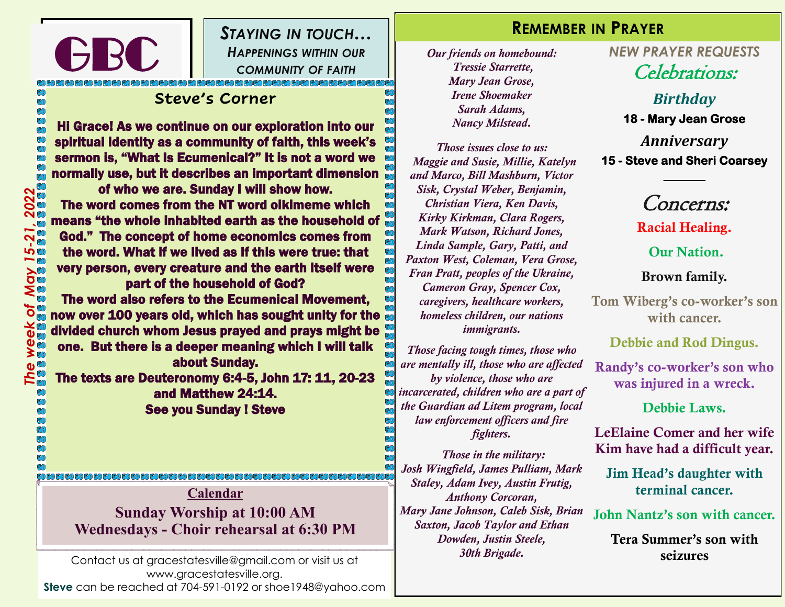*STAYING IN TOUCH… HAPPENINGS WITHIN OUR COMMUNITY OF FAITH*

# DECECEOL<br>-<br>- - - <sup>1</sup> **Steve's Corner**

GBC

Hi Grace! As we continue on our exploration into our spiritual identity as a community of faith, this week's sermon is, "What Is Ecumenical?" It is not a word we normally use, but it describes an important dimension of who we are. Sunday I will show how. The word comes from the NT word oikimeme which means "the whole inhabited earth as the household of God." The concept of home economics comes from the word. What if we lived as If this were true: that very person, every creature and the earth itself were part of the household of God? The word also refers to the Ecumenical Movement, now over 100 years old, which has sought unity for the divided church whom Jesus prayed and prays might be one. But there is a deeper meaning which I will talk about Sunday. The texts are Deuteronomy 6:4-5, John 17: 11, 20-23 and Matthew 24:14. See you Sunday ! Steve

**Calendar Sunday Worship at 10:00 AM Wednesdays - Choir rehearsal at 6:30 PM**

Contact us at gracestatesville@gmail.com or visit us at www.gracestatesville.org. **Steve** can be reached at 704-591-0192 or shoe1948@yahoo.com

#### **REMEMBER IN PRAYER**

*Our friends on homebound: Tressie Starrette, Mary Jean Grose, Irene Shoemaker Sarah Adams, Nancy Milstead.*

*Those issues close to us: Maggie and Susie, Millie, Katelyn and Marco, Bill Mashburn, Victor Sisk, Crystal Weber, Benjamin, Christian Viera, Ken Davis, Kirky Kirkman, Clara Rogers, Mark Watson, Richard Jones, Linda Sample, Gary, Patti, and Paxton West, Coleman, Vera Grose, Fran Pratt, peoples of the Ukraine, Cameron Gray, Spencer Cox, caregivers, healthcare workers, homeless children, our nations immigrants.* 

*Those facing tough times, those who are mentally ill, those who are affected by violence, those who are incarcerated, children who are a part of the Guardian ad Litem program, local law enforcement officers and fire fighters.*

*Those in the military: Josh Wingfield, James Pulliam, Mark Staley, Adam Ivey, Austin Frutig, Anthony Corcoran, Mary Jane Johnson, Caleb Sisk, Brian Saxton, Jacob Taylor and Ethan Dowden, Justin Steele, 30th Brigade.*

*NEW PRAYER REQUESTS* Celebrations:

> *Birthday* **18 - Mary Jean Grose**

*Anniversary* **15 - Steve and Sheri Coarsey** 

Concerns:

**\_\_\_\_\_\_\_** 

Racial Healing.

Our Nation.

Brown family.

Tom Wiberg's co-worker's son with cancer.

Debbie and Rod Dingus.

Randy's co-worker's son who was injured in a wreck.

Debbie Laws.

LeElaine Comer and her wife Kim have had a difficult year.

Jim Head's daughter with terminal cancer.

John Nantz's son with cancer.

Tera Summer's son with seizures